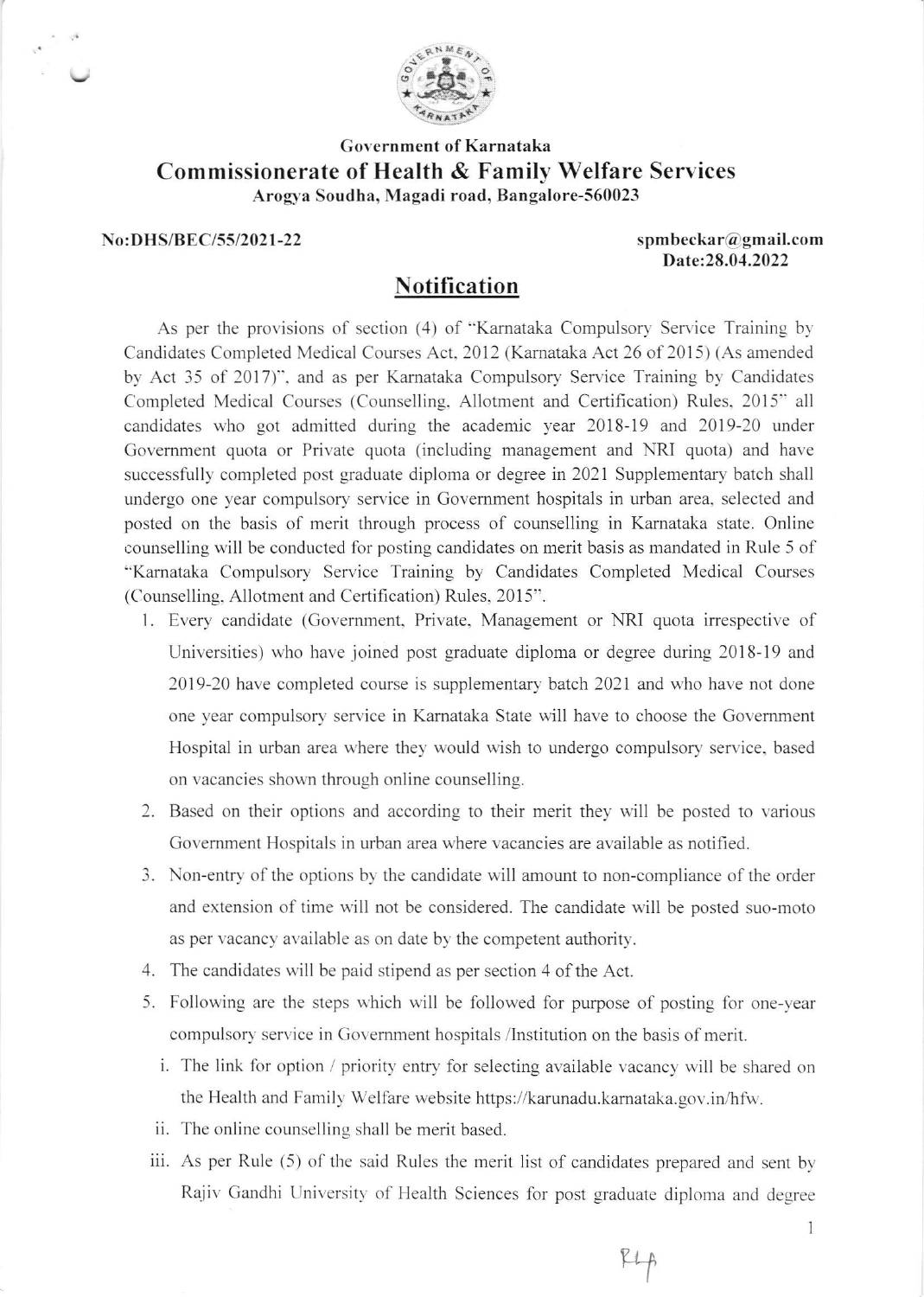

## Government of Karnataka Commissionerate of Health & Familv Welfare Services Arogya Soudha, Magadi road, Bangalore-560023

## No:DHS/BEC/55/2021-22 spmbeckar@gmail.com

Date: 28.04.2022

## Notification

As per the provisions of section (4) of "Karnataka Compulsory Service Training by Candidates Completed Medical Courses Act.2012 (Kamataka Act 26 of 2015) (As amended by Act 35 of 2017)", and as per Karnataka Compulsory Service Training by Candidates Completed Medical Courses (Counselling, Allotment and Certification) Rules, 2015" all candidates who got admitted during the academic year 2018-19 and 2019-20 under Govemment quota or Private quota (including management and NRI quota) and have successfully completed post graduate diploma or degree in 2021 Supplementary batch shall undergo one year compulsory service in Govemment hospitals in urban area, selected and posted on the basis of merit through process of counselling in Kamataka state. Online counselling will be conducted for posting candidates on merit basis as mandated in Rule 5 of "Kamataka Compulsory Service Training by Candidates Completed Medical Courses (Counselling, Allotment and Certification) Rules, 2015".

- l. Every candidate (Government, Private, Management or NRI quota irrespective of Universities) who have joined post graduate diploma or degree during 2018-19 and 2019-20 have completed course is supplementary batch 2021 and who have not done one year compulsory service in Kamataka State will have to choose the Govemment Hospital in urban area where they would wish to undergo compulsory service. based on vacancies shown through online counselling.
- 2. Based on their options and according to their merit they will be posted to various Government Hospitals in urban area where vacancies are available as notified.
- 3. Non-entry of the options by the candidate will amount to non-compliance of the order and extension of time will not be considered. The candidate will be posted suo-moto as per vacancy available as on date by the competent authority.
- 4. The candidates will be paid stipend as per section 4 of the Act.
- 5. Following are the steps which will be followed for purpose of posting for one-vear compulsory service in Govemment hospitals /Institution on the basis of merit.
	- i. The link for option / priority entry for selecting available vacancy will be shared on the Health and Family Welfare website https://karunadu.kamataka.gov.in/hfw-.
	- ii. The online counselling shall be merit based.
- iii. As per Rule (5) of the said Rules the merit list of candidates prepared and sent by Rajiv Gandhi University of Health Sciences for post graduate diploma and degree

 $PL_{p}$